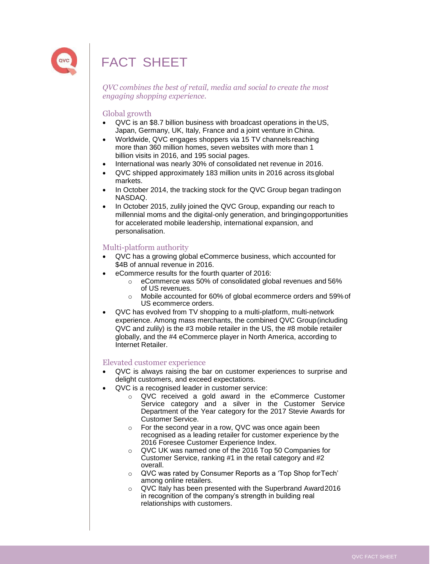

## FACT SHEET

*QVC combines the best of retail, media and social to create the most engaging shopping experience.*

## Global growth

- QVC is an \$8.7 billion business with broadcast operations in theUS, Japan, Germany, UK, Italy, France and a joint venture in China.
- Worldwide, QVC engages shoppers via 15 TV channels reaching more than 360 million homes, seven websites with more than 1 billion visits in 2016, and 195 social pages.
- International was nearly 30% of consolidated net revenue in 2016.
- QVC shipped approximately 183 million units in 2016 across itsglobal markets.
- In October 2014, the tracking stock for the QVC Group began tradingon NASDAQ.
- In October 2015, zulily joined the QVC Group, expanding our reach to millennial moms and the digital-only generation, and bringingopportunities for accelerated mobile leadership, international expansion, and personalisation.

#### Multi-platform authority

- QVC has a growing global eCommerce business, which accounted for \$4B of annual revenue in 2016.
- eCommerce results for the fourth quarter of 2016:
	- o eCommerce was 50% of consolidated global revenues and 56% of US revenues.
	- o Mobile accounted for 60% of global ecommerce orders and 59% of US ecommerce orders.
- QVC has evolved from TV shopping to a multi-platform, multi-network experience. Among mass merchants, the combined QVC Group(including QVC and zulily) is the #3 mobile retailer in the US, the #8 mobile retailer globally, and the #4 eCommerce player in North America, according to Internet Retailer.

#### Elevated customer experience

- QVC is always raising the bar on customer experiences to surprise and delight customers, and exceed expectations.
	- QVC is a recognised leader in customer service:
		- o QVC received a gold award in the eCommerce Customer Service category and a silver in the Customer Service Department of the Year category for the 2017 Stevie Awards for Customer Service.
		- o For the second year in a row, QVC was once again been recognised as a leading retailer for customer experience by the 2016 Foresee Customer Experience Index.
		- o QVC UK was named one of the 2016 Top 50 Companies for Customer Service, ranking #1 in the retail category and #2 overall.
		- o QVC was rated by Consumer Reports as a 'Top Shop forTech' among online retailers.
		- o QVC Italy has been presented with the Superbrand Award2016 in recognition of the company's strength in building real relationships with customers.